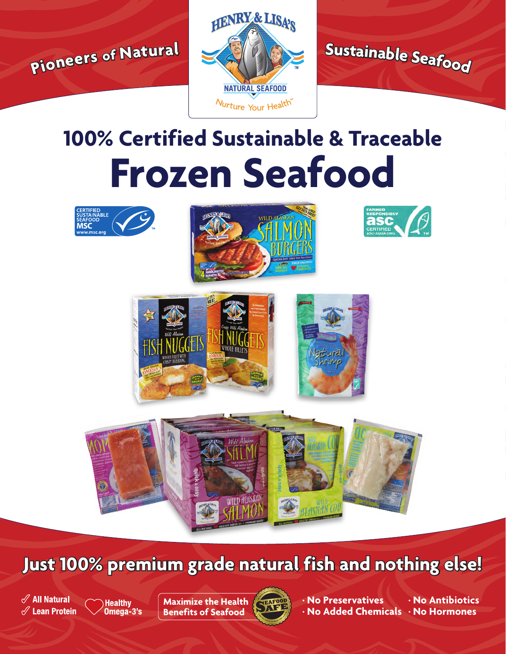

# **100% Certified Sustainable & Traceable Frozen Seafood**











# **Just 100% premium grade natural fish and nothing else!**

 $\mathscr X$  All Natural  $\mathscr X$  Lean Protein **Healthy** Omega-3's **Maximize the Health Benefits of Seafood**



**· No Preservatives · No Added Chemicals · No Hormones · No Antibiotics**